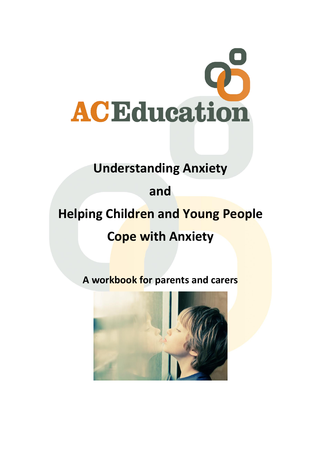

## **Understanding Anxiety**

# **and**

# **Helping Children and Young People**

## **Cope with Anxiety**

## **A workbook for parents and carers**

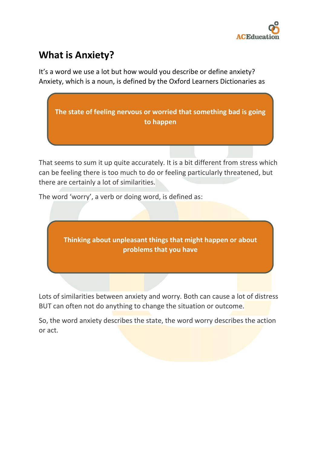

### **What is Anxiety?**

It's a word we use a lot but how would you describe or define anxiety? Anxiety, which is a noun, is defined by the Oxford Learners Dictionaries as



That seems to sum it up quite accurately. It is a bit different from stress which can be feeling there is too much to do or feeling particularly threatened, but there are certainly a lot of similarities.

The word 'worry', a verb or doing word, is defined as:



Lots of similarities between anxiety and worry. Both can cause a lot of distress BUT can often not do anything to change the situation or outcome.

So, the word anxiety describes the state, the word worry describes the action or act.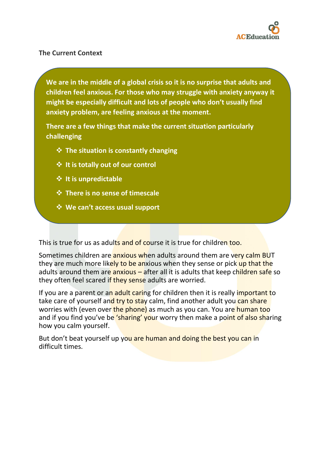

#### **The Current Context**

**We are in the middle of a global crisis so it is no surprise that adults and children feel anxious. For those who may struggle with anxiety anyway it might be especially difficult and lots of people who don't usually find anxiety problem, are feeling anxious at the moment.**

**There are a few things that make the current situation particularly challenging**

- ❖ **The situation is constantly changing**
- ❖ **It is totally out of our control**
- ❖ **It is unpredictable**
- ❖ **There is no sense of timescale**
- ❖ **We can't access usual support**

This is true for us as adults and of course it is true for children too.

Sometimes children are **anxious when adults around them are very calm BUT** they are much more likely to be anxious when they sense or pick up that the adults around them are anxious – after all it is adults that keep children safe so they often feel scared if they sense adults are worried.

If you are a parent or an adult caring for children then it is really important to take care of yourself and try to stay calm, find another adult you can share worries with (even over the phone) as much as you can. You are human too and if you find you've be 'sharing' your worry then make a point of also sharing how you calm yourself.

But don't beat yourself up you are human and doing the best you can in difficult times.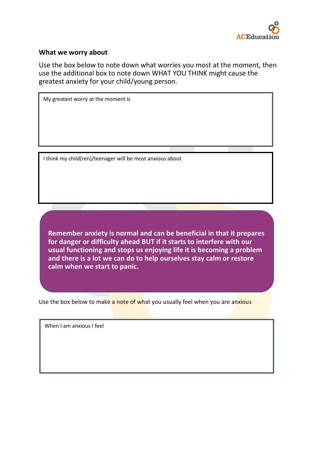

#### **What we worry about**

Use the box below to note down what worries you most at the moment, then use the additional box to note down WHAT YOU THINK might cause the greatest anxiety for your child/young person.

My greatest worry at the moment is

I think my child(ren)/teenager will be most anxious about

**Remember anxiety is normal and can be beneficial in that it prepares for danger or difficulty ahead BUT if it starts to interfere with our usual functioning and stops us enjoying life it is becoming a problem and there is a lot we can do to help ourselves stay calm or restore calm when we start to panic.**

Use the box below to make a note of what you usually feel when you are anxious

When I am anxious I feel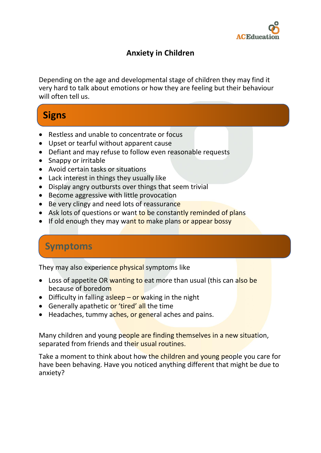

### **Anxiety in Children**

Depending on the age and developmental stage of children they may find it very hard to talk about emotions or how they are feeling but their behaviour will often tell us.

## **Signs**

- Restless and unable to concentrate or focus
- Upset or tearful without apparent cause
- Defiant and may refuse to follow even reasonable requests
- Snappy or irritable
- Avoid certain tasks or situations
- Lack interest in things they usually like
- Display angry outbursts over things that seem trivial
- Become aggressive with little provocation
- Be very clingy and need lots of reassurance
- Ask lots of questions or want to be constantly reminded of plans
- If old enough they may want to make plans or appear bossy

### **Symptoms**

They may also experience physical symptoms like

- Loss of appetite OR wanting to eat more than usual (this can also be because of boredom
- Difficulty in falling as  $\frac{1}{2}$  or waking in the night
- Generally apathetic or 'tired' all the time
- Headaches, tummy aches, or general aches and pains.

Many children and young people are finding themselves in a new situation, separated from friends and their usual routines.

Take a moment to think about how the children and young people you care for have been behaving. Have you noticed anything different that might be due to anxiety?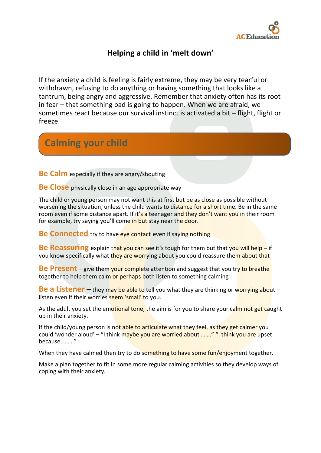

### **Helping a child in 'melt down'**

If the anxiety a child is feeling is fairly extreme, they may be very tearful or withdrawn, refusing to do anything or having something that looks like a tantrum, being angry and aggressive. Remember that anxiety often has its root in fear – that something bad is going to happen. When we are afraid, we sometimes react because our survival instinct is activated a bit – flight, flight or freeze.

### **Calming your child**

**Be Calm** especially if they are angry/shouting

**Be Close** physically close in an age appropriate way

The child or young person may not want this at first but be as close as possible without worsening the situation, unless the child wants to distance for a short time. Be in the same room even if some distance apart. If it's a teenager and they don't want you in their room for example, try saying you'll come in but stay near the door.

**Be Connected** try to have eve contact even if saying nothing

**Be Reassuring** explain that you can see it's tough for them but that you will help – if you know specifically what they are worrying about you could reassure them about that

**Be Present** – give them your complete attention and suggest that you try to breathe together to help them calm or perhaps both listen to something calming

**Be a Listener** – they may be able to tell you what they are thinking or worrying about – listen even if their worries seem 'small' to you.

As the adult you set the emotional tone, the aim is for you to share your calm not get caught up in their anxiety.

If the child/young person is not able to articulate what they feel, as they get calmer you could 'wonder aloud' – "I think maybe you are worried about ......." "I think you are upset because………"

When they have calmed then try to do something to have some fun/enjoyment together.

Make a plan together to fit in some more regular calming activities so they develop ways of coping with their anxiety.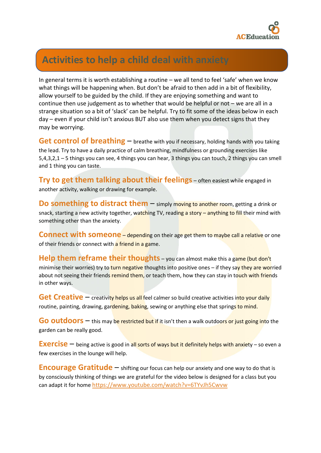

### **Activities to help a child deal with anxiety**

In general terms it is worth establishing a routine – we all tend to feel 'safe' when we know what things will be happening when. But don't be afraid to then add in a bit of flexibility, allow yourself to be guided by the child. If they are enjoying something and want to continue then use judgement as to whether that would be helpful or not – we are all in a strange situation so a bit of 'slack' can be helpful. Try to fit some of the ideas below in each day – even if your child isn't anxious BUT also use them when you detect signs that they may be worrying.

**Get control of breathing** – breathe with you if necessary, holding hands with you taking the lead. Try to have a daily practice of calm breathing, mindfulness or grounding exercises like 5,4,3,2,1 – 5 things you can see, 4 things you can hear, 3 things you can touch, 2 things you can smell and 1 thing you can taste.

**Try to get them talking about their feelings** – often easiest while engaged in another activity, walking or drawing for example.

**Do something to distract them** – simply moving to another room, getting a drink or snack, starting a new activity together, watching TV, reading a story – anything to fill their mind with something other than the anxiety.

**Connect with someone** – depending on their age get them to maybe call a relative or one of their friends or connect with a friend in a game.

**Help them reframe their thoughts** – you can almost make this a game (but don't minimise their worries) try to turn negative thoughts into positive ones - if they say they are worried about not seeing their friends remind them, or teach them, how they can stay in touch with friends in other ways.

**Get Creative** – creativity helps us all feel calmer so build creative activities into your daily routine, painting, drawing, gardening, baking, sewing or anything else that springs to mind.

**Go outdoors** – this may be restricted but if it isn't then a walk outdoors or just going into the garden can be really good.

**Exercise** – being active is good in all sorts of ways but it definitely helps with anxiety – so even a few exercises in the lounge will help.

**Encourage Gratitude** – shifting our focus can help our anxiety and one way to do that is by consciously thinking of things we are grateful for the video below is designed for a class but you can adapt it for home <https://www.youtube.com/watch?v=6TYvJh5Cwvw>